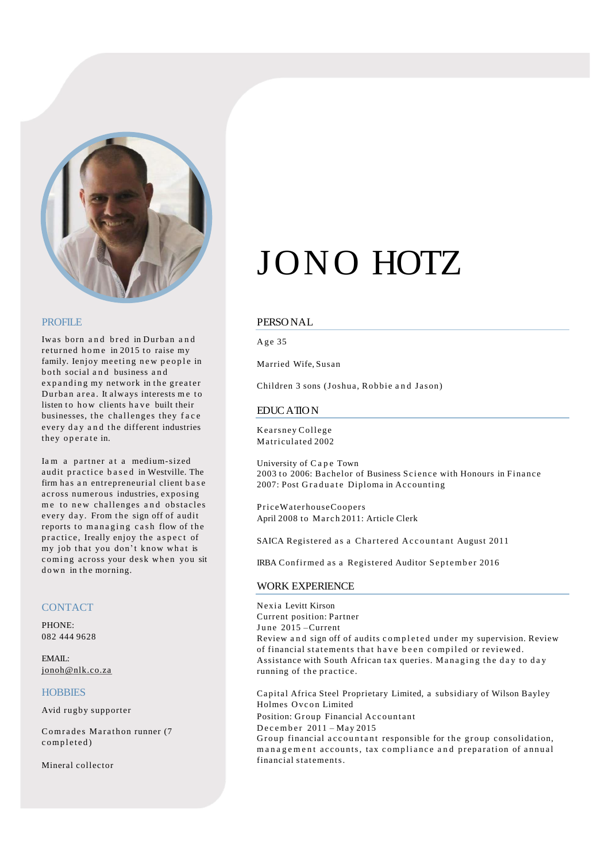

#### PROFILE

Iwas born and bred in Durban and returned home in 2015 to raise my family. Ienjoy meeting new people in both social and business and expanding my network in the greater Durban area. It always interests me to listen to how clients have built their businesses, the challenges they face every day and the different industries they operate in.

Iam a partner at a medium-sized audit practice based in Westville. The firm has an entrepreneurial client base across numerous industries, exposing me to new challenges and obstacles every day. From the sign off of audit reports to managing cash flow of the practice, Ireally enjoy the aspect of my job that you don't know what is coming across your desk when you sit down in the morning.

#### **CONTACT**

PHONE: 082 444 9628

EMAIL: [jonoh@nlk.co.za](mailto:jonoh@nlk.co.za)

#### **HOBBIES**

Avid rugby supporter

Comrades Marathon runner (7 completed)

Mineral collector

# JONO HOTZ

#### PERSONAL

Age 35

Married Wife, Susan

Children 3 sons (Joshua, Robbie and Jason)

#### EDUCATION

Kearsney College Matriculated 2002

University of Cape Town 2003 to 2006: Bachelor of Business Science with Honours in Finance 2007: Post Graduate Diploma in Accounting

PriceWaterhouseCoopers April 2008 to March 2011: Article Clerk

SAICA Registered as a Chartered Accountant August 2011

IRBA Confirmed as a Registered Auditor September 2016

#### WORK EXPERIENCE

Nexia Levitt Kirson Current position: Partner June 2015 – Current Review and sign off of audits completed under my supervision. Review of financial statements that have been compiled or reviewed. Assistance with South African tax queries. Managing the day to day running of the practice.

Capital Africa Steel Proprietary Limited, a subsidiary of Wilson Bayley Holmes Ovcon Limited Position: Group Financial Accountant December 2011 – May 2015 Group financial accountant responsible for the group consolidation, management accounts, tax compliance and preparation of annual financial statements.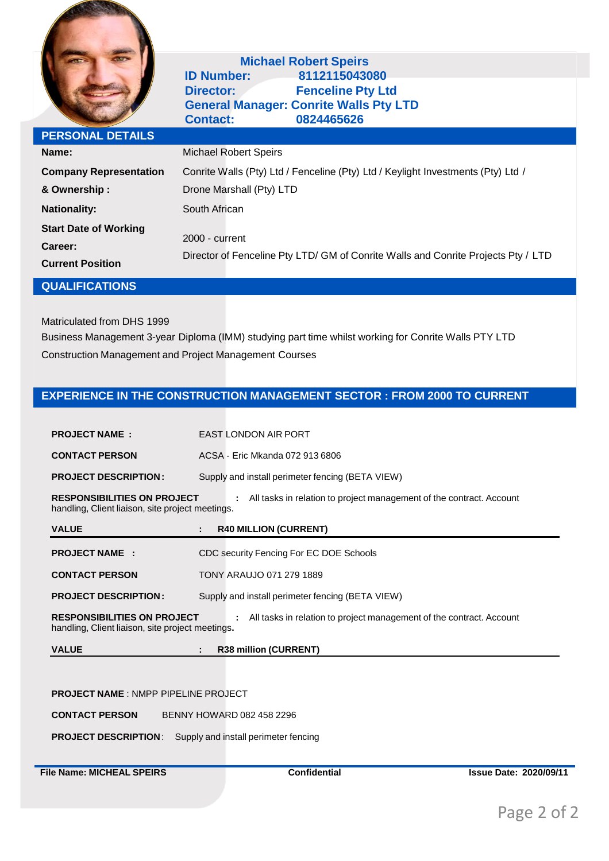

# **Michael Robert Speirs**<br>**B1121150430 CD Number: ID Number: 8112115043080 Director: Fenceline Pty Ltd General Manager: Conrite Walls Pty LTD Contact: 0824465626**

| <b>PERSONAL DETAILS</b>                                            |                                                                                                     |
|--------------------------------------------------------------------|-----------------------------------------------------------------------------------------------------|
| Name:                                                              | <b>Michael Robert Speirs</b>                                                                        |
| <b>Company Representation</b>                                      | Conrite Walls (Pty) Ltd / Fenceline (Pty) Ltd / Keylight Investments (Pty) Ltd /                    |
| & Ownership:                                                       | Drone Marshall (Pty) LTD                                                                            |
| <b>Nationality:</b>                                                | South African                                                                                       |
| <b>Start Date of Working</b><br>Career:<br><b>Current Position</b> | 2000 - current<br>Director of Fenceline Pty LTD/ GM of Conrite Walls and Conrite Projects Pty / LTD |

## **QUALIFICATIONS**

Matriculated from DHS 1999

Business Management 3-year Diploma (IMM) studying part time whilst working for Conrite Walls PTY LTD Construction Management and Project Management Courses

# **EXPERIENCE IN THE CONSTRUCTION MANAGEMENT SECTOR : FROM 2000 TO CURRENT**

| <b>PROJECT NAME:</b>                                                                   | <b>EAST LONDON AIR PORT</b>                                          |
|----------------------------------------------------------------------------------------|----------------------------------------------------------------------|
| <b>CONTACT PERSON</b>                                                                  | ACSA - Fric Mkanda 072 913 6806                                      |
| <b>PROJECT DESCRIPTION:</b>                                                            | Supply and install perimeter fencing (BETA VIEW)                     |
| <b>RESPONSIBILITIES ON PROJECT</b><br>handling, Client liaison, site project meetings. | All tasks in relation to project management of the contract. Account |
| <b>VALUE</b>                                                                           | <b>R40 MILLION (CURRENT)</b><br>÷                                    |
|                                                                                        |                                                                      |
| <b>PROJECT NAME:</b>                                                                   | CDC security Fencing For EC DOE Schools                              |
| <b>CONTACT PERSON</b>                                                                  | TONY ARAUJO 071 279 1889                                             |
| <b>PROJECT DESCRIPTION:</b>                                                            | Supply and install perimeter fencing (BETA VIEW)                     |
| <b>RESPONSIBILITIES ON PROJECT</b><br>handling, Client liaison, site project meetings. | All tasks in relation to project management of the contract. Account |

#### **PROJECT NAME** : NMPP PIPELINE PROJECT

**CONTACT PERSON** BENNY HOWARD 082 458 2296

**PROJECT DESCRIPTION**: Supply and install perimeter fencing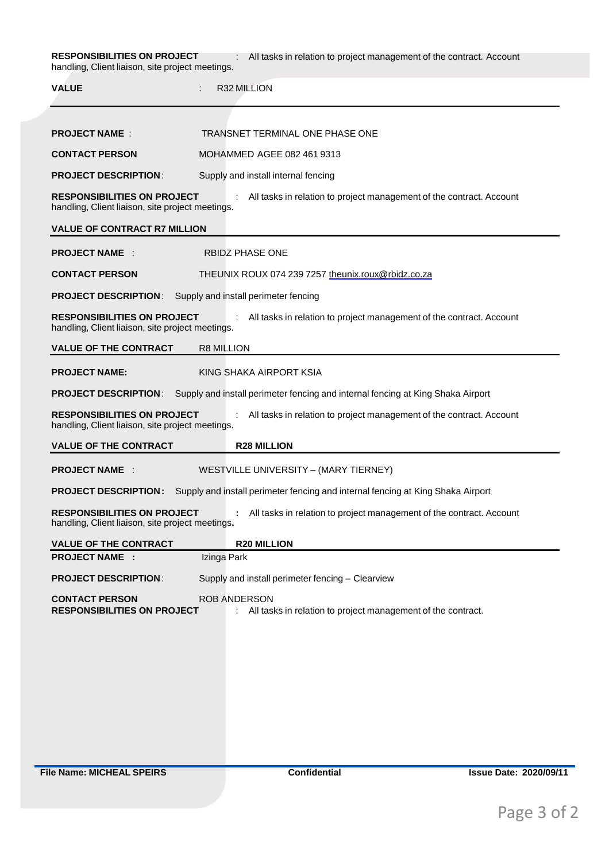**RESPONSIBILITIES ON PROJECT** : All tasks in relation to project management of the contract. Account handling, Client liaison, site project meetings.

| <b>VALUE</b>                                                                           | R32 MILLION                                                                         |
|----------------------------------------------------------------------------------------|-------------------------------------------------------------------------------------|
|                                                                                        |                                                                                     |
| <b>PROJECT NAME:</b>                                                                   | TRANSNET TERMINAL ONE PHASE ONE                                                     |
| <b>CONTACT PERSON</b>                                                                  | MOHAMMED AGEE 082 461 9313                                                          |
| <b>PROJECT DESCRIPTION:</b>                                                            | Supply and install internal fencing                                                 |
| <b>RESPONSIBILITIES ON PROJECT</b><br>handling, Client liaison, site project meetings. | All tasks in relation to project management of the contract. Account                |
| <b>VALUE OF CONTRACT R7 MILLION</b>                                                    |                                                                                     |
| <b>PROJECT NAME:</b>                                                                   | <b>RBIDZ PHASE ONE</b>                                                              |
| <b>CONTACT PERSON</b>                                                                  | THEUNIX ROUX 074 239 7257 theunix.roux@rbidz.co.za                                  |
| <b>PROJECT DESCRIPTION:</b>                                                            | Supply and install perimeter fencing                                                |
| <b>RESPONSIBILITIES ON PROJECT</b><br>handling, Client liaison, site project meetings. | ÷<br>All tasks in relation to project management of the contract. Account           |
| <b>VALUE OF THE CONTRACT</b>                                                           | R8 MILLION                                                                          |
| <b>PROJECT NAME:</b>                                                                   | KING SHAKA AIRPORT KSIA                                                             |
| <b>PROJECT DESCRIPTION:</b>                                                            | Supply and install perimeter fencing and internal fencing at King Shaka Airport     |
| <b>RESPONSIBILITIES ON PROJECT</b><br>handling, Client liaison, site project meetings. | All tasks in relation to project management of the contract. Account                |
| <b>VALUE OF THE CONTRACT</b>                                                           | <b>R28 MILLION</b>                                                                  |
| <b>PROJECT NAME:</b>                                                                   | WESTVILLE UNIVERSITY - (MARY TIERNEY)                                               |
| <b>PROJECT DESCRIPTION:</b>                                                            | Supply and install perimeter fencing and internal fencing at King Shaka Airport     |
| <b>RESPONSIBILITIES ON PROJECT</b><br>handling, Client liaison, site project meetings. | All tasks in relation to project management of the contract. Account                |
| <b>VALUE OF THE CONTRACT</b>                                                           | <b>R20 MILLION</b>                                                                  |
| <b>PROJECT NAME:</b>                                                                   | Izinga Park                                                                         |
| <b>PROJECT DESCRIPTION:</b>                                                            | Supply and install perimeter fencing - Clearview                                    |
| <b>CONTACT PERSON</b><br><b>RESPONSIBILITIES ON PROJECT</b>                            | <b>ROB ANDERSON</b><br>All tasks in relation to project management of the contract. |
|                                                                                        |                                                                                     |
|                                                                                        |                                                                                     |
|                                                                                        |                                                                                     |
|                                                                                        |                                                                                     |

**File Name: MICHEAL SPEIRS Confidential Issue Date: 2020/09/11**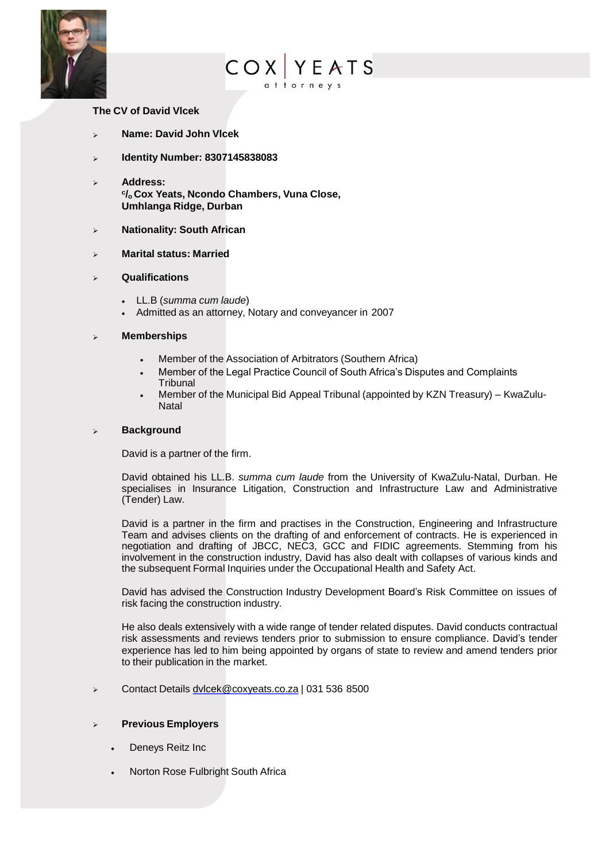

# **COX YEATS**

#### **The CV of David Vlcek**

- ➢ **Name: David John Vlcek**
- ➢ **Identity Number: 8307145838083**
- ➢ **Address: c /o Cox Yeats, Ncondo Chambers, Vuna Close, Umhlanga Ridge, Durban**
- ➢ **Nationality: South African**
- ➢ **Marital status: Married**
- ➢ **Qualifications**
	- LL.B (*summa cum laude*)
	- Admitted as an attorney, Notary and conveyancer in 2007

#### ➢ **Memberships**

- Member of the Association of Arbitrators (Southern Africa)
- Member of the Legal Practice Council of South Africa's Disputes and Complaints Tribunal
- Member of the Municipal Bid Appeal Tribunal (appointed by KZN Treasury) KwaZulu-**Natal**

#### ➢ **Background**

David is a partner of the firm.

David obtained his LL.B. *summa cum laude* from the University of KwaZulu-Natal, Durban. He specialises in Insurance Litigation, Construction and Infrastructure Law and Administrative (Tender) Law.

David is a partner in the firm and practises in the Construction, Engineering and Infrastructure Team and advises clients on the drafting of and enforcement of contracts. He is experienced in negotiation and drafting of JBCC, NEC3, GCC and FIDIC agreements. Stemming from his involvement in the construction industry, David has also dealt with collapses of various kinds and the subsequent Formal Inquiries under the Occupational Health and Safety Act.

David has advised the Construction Industry Development Board's Risk Committee on issues of risk facing the construction industry.

He also deals extensively with a wide range of tender related disputes. David conducts contractual risk assessments and reviews tenders prior to submission to ensure compliance. David's tender experience has led to him being appointed by organs of state to review and amend tenders prior to their publication in the market.

➢ Contact Details [dvlcek@coxyeats.co.za](mailto:dvlcek@coxyeats.co.za) | 031 536 8500

#### ➢ **Previous Employers**

- Deneys Reitz Inc
- Norton Rose Fulbright South Africa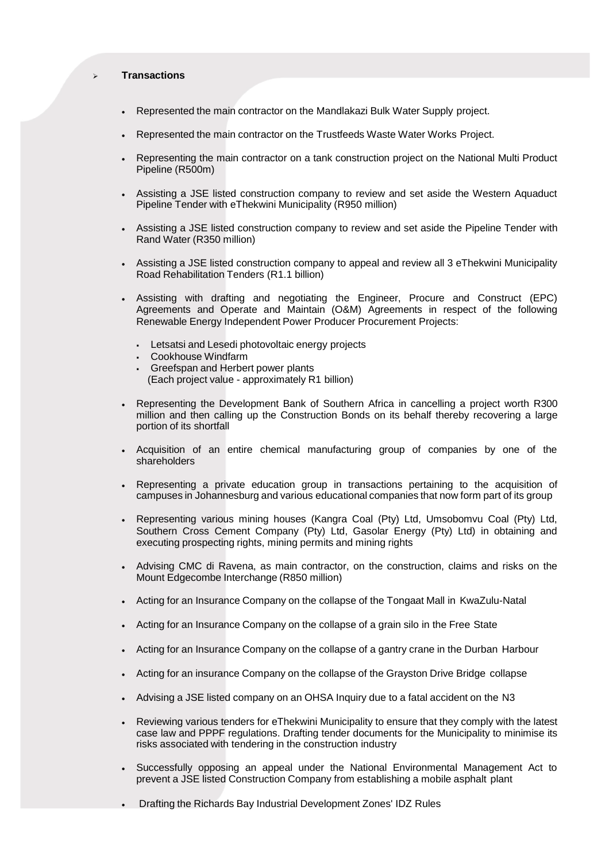#### ➢ **Transactions**

- Represented the main contractor on the Mandlakazi Bulk Water Supply project.
- Represented the main contractor on the Trustfeeds Waste Water Works Project.
- Representing the main contractor on a tank construction project on the National Multi Product Pipeline (R500m)
- Assisting a JSE listed construction company to review and set aside the Western Aquaduct Pipeline Tender with eThekwini Municipality (R950 million)
- Assisting a JSE listed construction company to review and set aside the Pipeline Tender with Rand Water (R350 million)
- Assisting a JSE listed construction company to appeal and review all 3 eThekwini Municipality Road Rehabilitation Tenders (R1.1 billion)
- Assisting with drafting and negotiating the Engineer, Procure and Construct (EPC) Agreements and Operate and Maintain (O&M) Agreements in respect of the following Renewable Energy Independent Power Producer Procurement Projects:
	- Letsatsi and Lesedi photovoltaic energy projects
	- Cookhouse Windfarm
	- Greefspan and Herbert power plants (Each project value - approximately R1 billion)
- Representing the Development Bank of Southern Africa in cancelling a project worth R300 million and then calling up the Construction Bonds on its behalf thereby recovering a large portion of its shortfall
- Acquisition of an entire chemical manufacturing group of companies by one of the shareholders
- Representing a private education group in transactions pertaining to the acquisition of campuses in Johannesburg and various educational companies that now form part of its group
- Representing various mining houses (Kangra Coal (Pty) Ltd, Umsobomvu Coal (Pty) Ltd, Southern Cross Cement Company (Pty) Ltd, Gasolar Energy (Pty) Ltd) in obtaining and executing prospecting rights, mining permits and mining rights
- Advising CMC di Ravena, as main contractor, on the construction, claims and risks on the Mount Edgecombe Interchange (R850 million)
- Acting for an Insurance Company on the collapse of the Tongaat Mall in KwaZulu-Natal
- Acting for an Insurance Company on the collapse of a grain silo in the Free State
- Acting for an Insurance Company on the collapse of a gantry crane in the Durban Harbour
- Acting for an insurance Company on the collapse of the Grayston Drive Bridge collapse
- Advising a JSE listed company on an OHSA Inquiry due to a fatal accident on the N3
- Reviewing various tenders for eThekwini Municipality to ensure that they comply with the latest case law and PPPF regulations. Drafting tender documents for the Municipality to minimise its risks associated with tendering in the construction industry
- Successfully opposing an appeal under the National Environmental Management Act to prevent a JSE listed Construction Company from establishing a mobile asphalt plant
- Drafting the Richards Bay Industrial Development Zones' IDZ Rules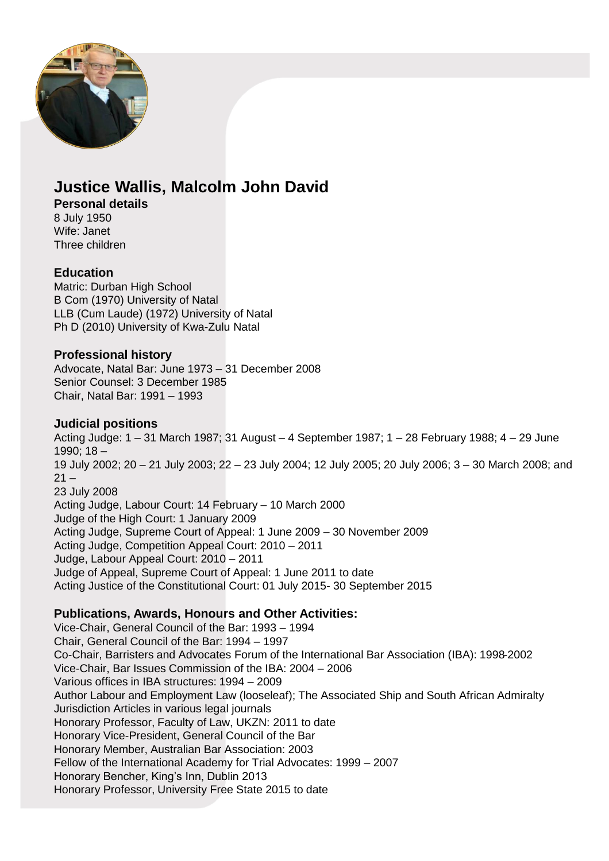

# **Justice Wallis, Malcolm John David**

### **Personal details**

8 July 1950 Wife: Janet Three children

### **Education**

Matric: Durban High School B Com (1970) University of Natal LLB (Cum Laude) (1972) University of Natal Ph D (2010) University of Kwa-Zulu Natal

## **Professional history**

Advocate, Natal Bar: June 1973 – 31 December 2008 Senior Counsel: 3 December 1985 Chair, Natal Bar: 1991 – 1993

## **Judicial positions**

Acting Judge: 1 – 31 March 1987; 31 August – 4 September 1987; 1 – 28 February 1988; 4 – 29 June 1990; 18 – 19 July 2002; 20 – 21 July 2003; 22 – 23 July 2004; 12 July 2005; 20 July 2006; 3 – 30 March 2008; and  $21 -$ 23 July 2008 Acting Judge, Labour Court: 14 February – 10 March 2000 Judge of the High Court: 1 January 2009 Acting Judge, Supreme Court of Appeal: 1 June 2009 – 30 November 2009 Acting Judge, Competition Appeal Court: 2010 – 2011 Judge, Labour Appeal Court: 2010 – 2011 Judge of Appeal, Supreme Court of Appeal: 1 June 2011 to date Acting Justice of the Constitutional Court: 01 July 2015- 30 September 2015

# **Publications, Awards, Honours and Other Activities:**

Vice-Chair, General Council of the Bar: 1993 – 1994 Chair, General Council of the Bar: 1994 – 1997 Co-Chair, Barristers and Advocates Forum of the International Bar Association (IBA): 1998-2002 Vice-Chair, Bar Issues Commission of the IBA: 2004 – 2006 Various offices in IBA structures: 1994 – 2009 Author Labour and Employment Law (looseleaf); The Associated Ship and South African Admiralty Jurisdiction Articles in various legal journals Honorary Professor, Faculty of Law, UKZN: 2011 to date Honorary Vice-President, General Council of the Bar Honorary Member, Australian Bar Association: 2003 Fellow of the International Academy for Trial Advocates: 1999 – 2007 Honorary Bencher, King's Inn, Dublin 2013 Honorary Professor, University Free State 2015 to date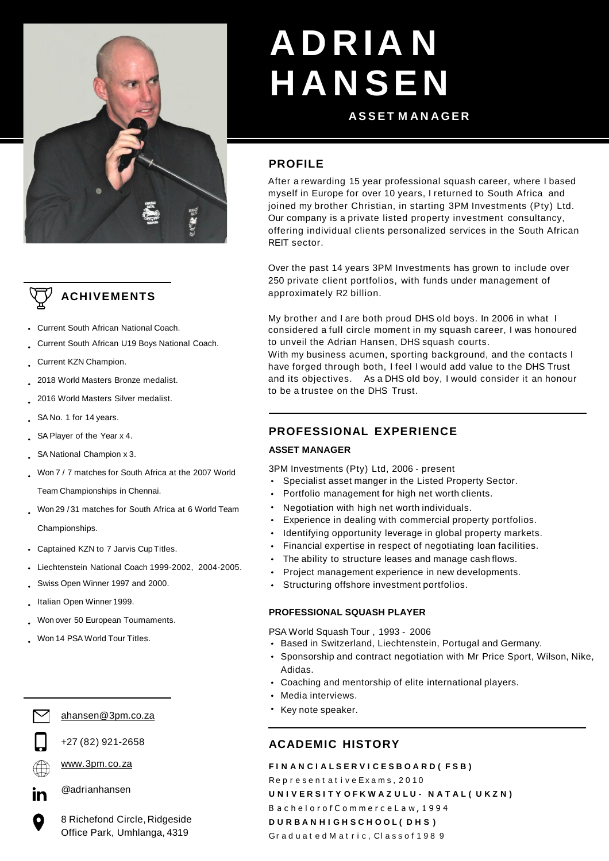



- Current South African National Coach.
- Current South African U19 Boys National Coach.
- Current KZN Champion.
- 2018 World Masters Bronze medalist.
- 2016 World Masters Silver medalist.
- SA No. 1 for 14 years.
- SA Player of the Year x 4.
- SA National Champion x 3.
- Won 7 / 7 matches for South Africa at the 2007 World

Team Championships in Chennai.

- Won 29 / 31 matches for South Africa at 6 World Team Championships.
- Captained KZN to 7 Jarvis CupTitles.  $\bullet$
- Liechtenstein National Coach 1999-2002, 2004-2005.
- Swiss Open Winner 1997 and 2000.
- Italian Open Winner 1999.
- Won over 50 European Tournaments.
- Won 14 PSA World Tour Titles.





+27 (82) 921-2658



[www.3pm.co.za](http://www.3pm.co.za/)

@adrianhansen

8 Richefond Circle, Ridgeside Office Park, Umhlanga, 4319

# **A D R IA N H A N SEN**

### **A S S E T M A N A G E R**

## **PROFILE**

After a rewarding 15 year professional squash career, where I based myself in Europe for over 10 years, I returned to South Africa and joined my brother Christian, in starting 3PM Investments (Pty) Ltd. Our company is a private listed property investment consultancy, offering individual clients personalized services in the South African REIT sector.

Over the past 14 years 3PM Investments has grown to include over 250 private client portfolios, with funds under management of approximately R2 billion.

My brother and I are both proud DHS old boys. In 2006 in what I considered a full circle moment in my squash career, I was honoured to unveil the Adrian Hansen, DHS squash courts.

With my business acumen, sporting background, and the contacts I have forged through both, I feel I would add value to the DHS Trust and its objectives. As a DHS old boy, I would consider it an honour to be a trustee on the DHS Trust.

# **PROFESSIONAL EXPERIENCE**

#### **ASSET MANAGER**

3PM Investments (Pty) Ltd, 2006 - present

- Specialist asset manger in the Listed Property Sector.
- Portfolio management for high net worth clients.
- Negotiation with high net worth individuals.
- Experience in dealing with commercial property portfolios.
- Identifying opportunity leverage in global property markets.
- Financial expertise in respect of negotiating loan facilities.
- The ability to structure leases and manage cash flows.
- Project management experience in new developments.
- Structuring offshore investment portfolios.

#### **PROFESSIONAL SQUASH PLAYER**

PSA World Squash Tour , 1993 - 2006

- Based in Switzerland, Liechtenstein, Portugal and Germany.
- Sponsorship and contract negotiation with Mr Price Sport, Wilson, Nike, Adidas.
- Coaching and mentorship of elite international players.
- Media interviews.
- Key note speaker.

# **ACADEMIC HISTORY**

#### **F I N A N C I A L S E R V I C E S B O A R D ( F S B )**

Represent at ive Exams, 2010 **U N I V E R S I T Y O F K W A Z U L U - N A T A L ( U K Z N )** B a c h e l o r o f C o m m e r c e L a w , 1 9 9 4 **D U R B A N H I G H S C H O O L ( D H S )** Graduated Matric, Classof 1989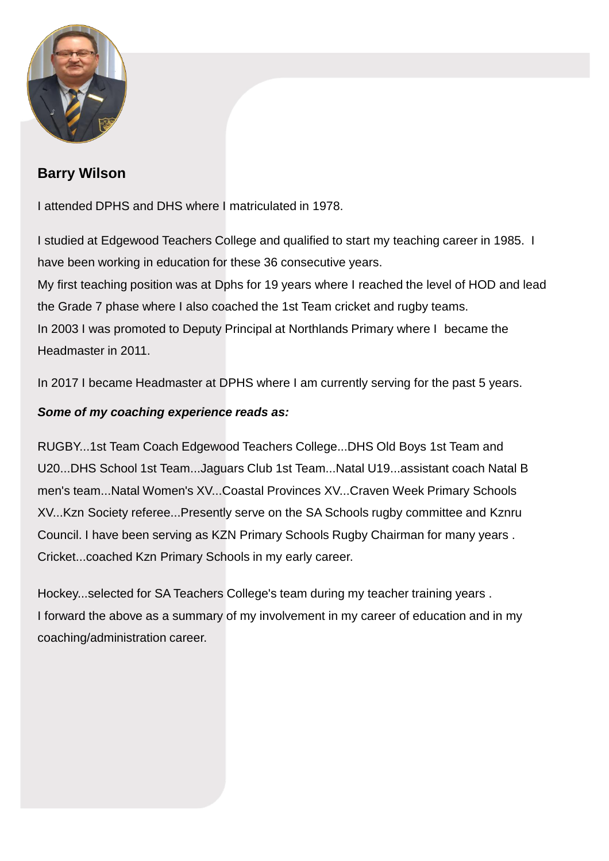

# **Barry Wilson**

I attended DPHS and DHS where I matriculated in 1978.

I studied at Edgewood Teachers College and qualified to start my teaching career in 1985. I have been working in education for these 36 consecutive years. My first teaching position was at Dphs for 19 years where I reached the level of HOD and lead the Grade 7 phase where I also coached the 1st Team cricket and rugby teams. In 2003 I was promoted to Deputy Principal at Northlands Primary where I became the Headmaster in 2011.

In 2017 I became Headmaster at DPHS where I am currently serving for the past 5 years.

# *Some of my coaching experience reads as:*

RUGBY...1st Team Coach Edgewood Teachers College...DHS Old Boys 1st Team and U20...DHS School 1st Team...Jaguars Club 1st Team...Natal U19...assistant coach Natal B men's team...Natal Women's XV...Coastal Provinces XV...Craven Week Primary Schools XV...Kzn Society referee...Presently serve on the SA Schools rugby committee and Kznru Council. I have been serving as KZN Primary Schools Rugby Chairman for many years . Cricket...coached Kzn Primary Schools in my early career.

Hockey...selected for SA Teachers College's team during my teacher training years . I forward the above as a summary of my involvement in my career of education and in my coaching/administration career.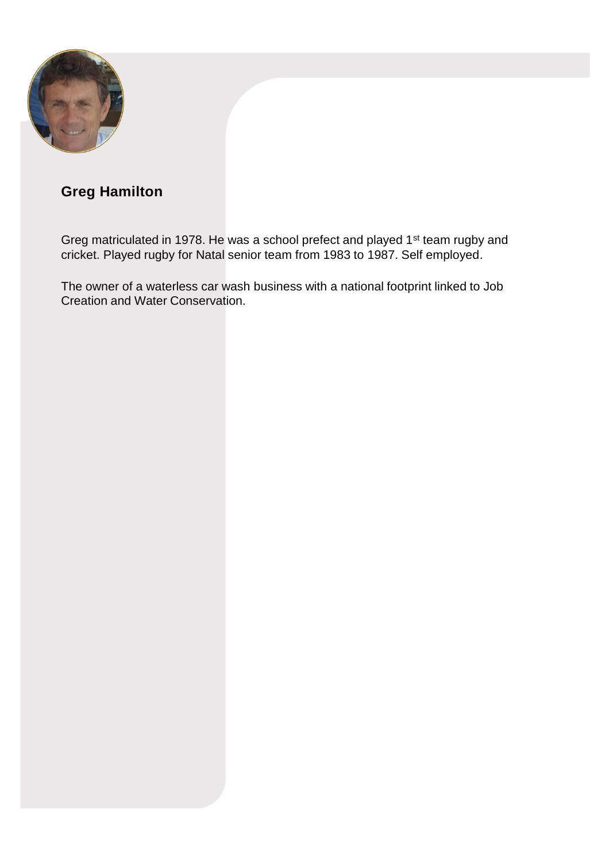

# **Greg Hamilton**

Greg matriculated in 1978. He was a school prefect and played 1<sup>st</sup> team rugby and cricket. Played rugby for Natal senior team from 1983 to 1987. Self employed.

The owner of a waterless car wash business with a national footprint linked to Job Creation and Water Conservation.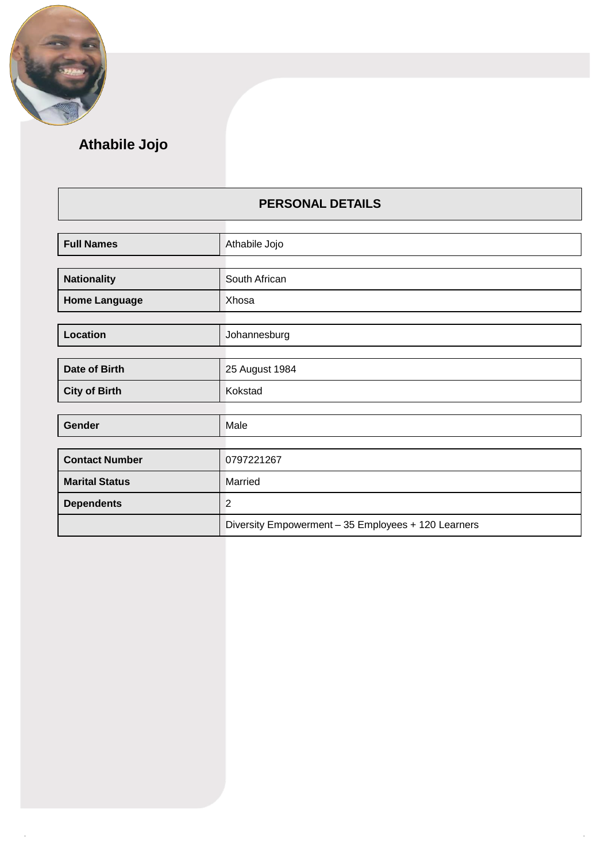

# **Athabile Jojo**

# **PERSONAL DETAILS**

| <b>Full Names</b>     | Athabile Jojo                                       |
|-----------------------|-----------------------------------------------------|
|                       |                                                     |
| <b>Nationality</b>    | South African                                       |
| <b>Home Language</b>  | Xhosa                                               |
|                       |                                                     |
| Location              | Johannesburg                                        |
|                       |                                                     |
| Date of Birth         | 25 August 1984                                      |
| <b>City of Birth</b>  | Kokstad                                             |
|                       |                                                     |
| Gender                | Male                                                |
|                       |                                                     |
| <b>Contact Number</b> | 0797221267                                          |
| <b>Marital Status</b> | Married                                             |
| <b>Dependents</b>     | $\overline{2}$                                      |
|                       | Diversity Empowerment - 35 Employees + 120 Learners |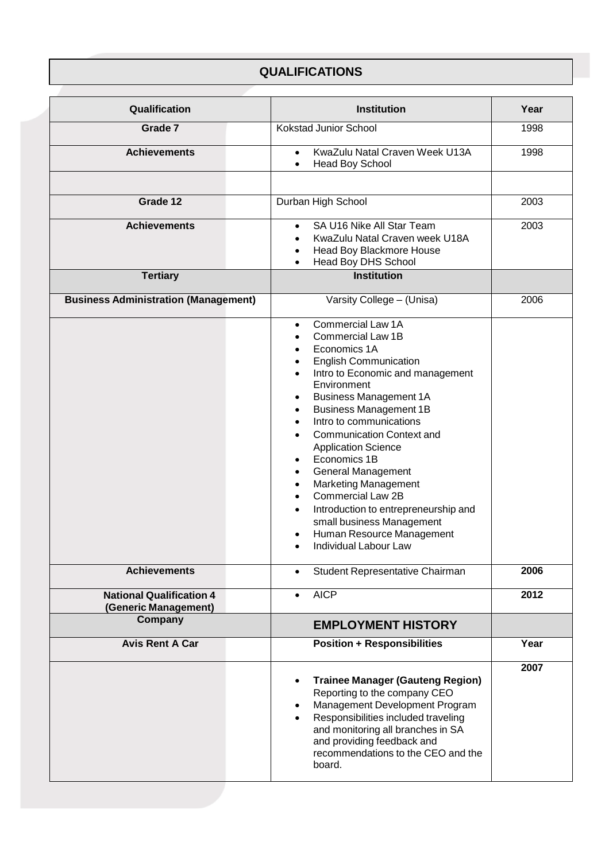# **QUALIFICATIONS**

| Qualification                                           | <b>Institution</b>                                                                                                                                                                                                                                                                                                                                                                                                                                                                                                                                                                                                                                                                                                                                         | Year |
|---------------------------------------------------------|------------------------------------------------------------------------------------------------------------------------------------------------------------------------------------------------------------------------------------------------------------------------------------------------------------------------------------------------------------------------------------------------------------------------------------------------------------------------------------------------------------------------------------------------------------------------------------------------------------------------------------------------------------------------------------------------------------------------------------------------------------|------|
| Grade 7                                                 | <b>Kokstad Junior School</b>                                                                                                                                                                                                                                                                                                                                                                                                                                                                                                                                                                                                                                                                                                                               | 1998 |
| <b>Achievements</b>                                     | KwaZulu Natal Craven Week U13A<br>$\bullet$<br><b>Head Boy School</b><br>$\bullet$                                                                                                                                                                                                                                                                                                                                                                                                                                                                                                                                                                                                                                                                         | 1998 |
|                                                         |                                                                                                                                                                                                                                                                                                                                                                                                                                                                                                                                                                                                                                                                                                                                                            |      |
| Grade 12                                                | Durban High School                                                                                                                                                                                                                                                                                                                                                                                                                                                                                                                                                                                                                                                                                                                                         | 2003 |
| <b>Achievements</b>                                     | SA U16 Nike All Star Team<br>$\bullet$<br>KwaZulu Natal Craven week U18A<br>$\bullet$<br>Head Boy Blackmore House<br>$\bullet$<br>Head Boy DHS School<br>$\bullet$                                                                                                                                                                                                                                                                                                                                                                                                                                                                                                                                                                                         | 2003 |
| <b>Tertiary</b>                                         | <b>Institution</b>                                                                                                                                                                                                                                                                                                                                                                                                                                                                                                                                                                                                                                                                                                                                         |      |
| <b>Business Administration (Management)</b>             | Varsity College - (Unisa)                                                                                                                                                                                                                                                                                                                                                                                                                                                                                                                                                                                                                                                                                                                                  | 2006 |
|                                                         | Commercial Law 1A<br>$\bullet$<br><b>Commercial Law 1B</b><br>$\bullet$<br>Economics 1A<br>$\bullet$<br><b>English Communication</b><br>$\bullet$<br>Intro to Economic and management<br>$\bullet$<br>Environment<br><b>Business Management 1A</b><br>$\bullet$<br><b>Business Management 1B</b><br>$\bullet$<br>Intro to communications<br>$\bullet$<br><b>Communication Context and</b><br>$\bullet$<br><b>Application Science</b><br>Economics 1B<br>$\bullet$<br><b>General Management</b><br>$\bullet$<br><b>Marketing Management</b><br>$\bullet$<br><b>Commercial Law 2B</b><br>$\bullet$<br>Introduction to entrepreneurship and<br>$\bullet$<br>small business Management<br>Human Resource Management<br>٠<br>Individual Labour Law<br>$\bullet$ |      |
| <b>Achievements</b>                                     | Student Representative Chairman<br>$\bullet$                                                                                                                                                                                                                                                                                                                                                                                                                                                                                                                                                                                                                                                                                                               | 2006 |
| <b>National Qualification 4</b><br>(Generic Management) | <b>AICP</b><br>$\bullet$                                                                                                                                                                                                                                                                                                                                                                                                                                                                                                                                                                                                                                                                                                                                   | 2012 |
| Company                                                 | <b>EMPLOYMENT HISTORY</b>                                                                                                                                                                                                                                                                                                                                                                                                                                                                                                                                                                                                                                                                                                                                  |      |
| <b>Avis Rent A Car</b>                                  | <b>Position + Responsibilities</b>                                                                                                                                                                                                                                                                                                                                                                                                                                                                                                                                                                                                                                                                                                                         | Year |
|                                                         | <b>Trainee Manager (Gauteng Region)</b><br>$\bullet$<br>Reporting to the company CEO<br>Management Development Program<br>$\bullet$<br>Responsibilities included traveling<br>$\bullet$<br>and monitoring all branches in SA<br>and providing feedback and<br>recommendations to the CEO and the<br>board.                                                                                                                                                                                                                                                                                                                                                                                                                                                 | 2007 |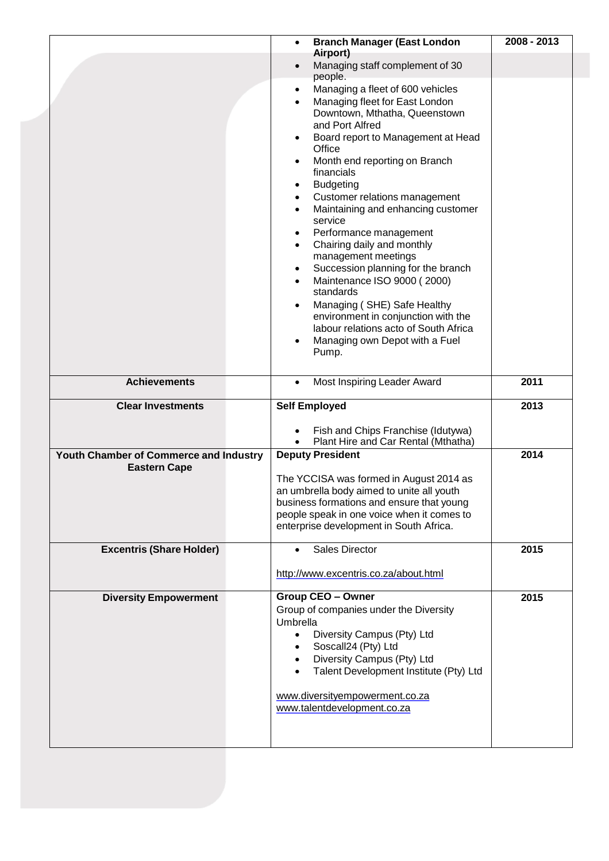|                                                               | <b>Branch Manager (East London</b><br>$\bullet$                                      | 2008 - 2013 |
|---------------------------------------------------------------|--------------------------------------------------------------------------------------|-------------|
|                                                               | Airport)<br>Managing staff complement of 30                                          |             |
|                                                               | people.<br>Managing a fleet of 600 vehicles<br>$\bullet$                             |             |
|                                                               | Managing fleet for East London                                                       |             |
|                                                               | Downtown, Mthatha, Queenstown                                                        |             |
|                                                               | and Port Alfred<br>Board report to Management at Head                                |             |
|                                                               | Office                                                                               |             |
|                                                               | Month end reporting on Branch<br>$\bullet$<br>financials                             |             |
|                                                               | <b>Budgeting</b><br>$\bullet$                                                        |             |
|                                                               | Customer relations management<br>$\bullet$<br>Maintaining and enhancing customer     |             |
|                                                               | $\bullet$<br>service                                                                 |             |
|                                                               | Performance management<br>٠                                                          |             |
|                                                               | Chairing daily and monthly<br>$\bullet$                                              |             |
|                                                               | management meetings<br>Succession planning for the branch<br>٠                       |             |
|                                                               | Maintenance ISO 9000 (2000)                                                          |             |
|                                                               | standards                                                                            |             |
|                                                               | Managing (SHE) Safe Healthy                                                          |             |
|                                                               | environment in conjunction with the<br>labour relations acto of South Africa         |             |
|                                                               | Managing own Depot with a Fuel                                                       |             |
|                                                               | Pump.                                                                                |             |
| <b>Achievements</b>                                           | Most Inspiring Leader Award<br>$\bullet$                                             | 2011        |
| <b>Clear Investments</b>                                      | <b>Self Employed</b>                                                                 | 2013        |
|                                                               | Fish and Chips Franchise (Idutywa)<br>$\bullet$                                      |             |
|                                                               | Plant Hire and Car Rental (Mthatha)<br>$\bullet$                                     |             |
| Youth Chamber of Commerce and Industry<br><b>Eastern Cape</b> | <b>Deputy President</b>                                                              | 2014        |
|                                                               | The YCCISA was formed in August 2014 as<br>an umbrella body aimed to unite all youth |             |
|                                                               | business formations and ensure that young                                            |             |
|                                                               | people speak in one voice when it comes to                                           |             |
|                                                               | enterprise development in South Africa.                                              |             |
| <b>Excentris (Share Holder)</b>                               | <b>Sales Director</b>                                                                | 2015        |
|                                                               | http://www.excentris.co.za/about.html                                                |             |
| <b>Diversity Empowerment</b>                                  | <b>Group CEO - Owner</b>                                                             | 2015        |
|                                                               | Group of companies under the Diversity                                               |             |
|                                                               | Umbrella                                                                             |             |
|                                                               | Diversity Campus (Pty) Ltd<br>$\bullet$<br>Soscall24 (Pty) Ltd                       |             |
|                                                               | Diversity Campus (Pty) Ltd                                                           |             |
|                                                               | Talent Development Institute (Pty) Ltd                                               |             |
|                                                               | www.diversityempowerment.co.za                                                       |             |
|                                                               | www.talentdevelopment.co.za                                                          |             |
|                                                               |                                                                                      |             |
|                                                               |                                                                                      |             |